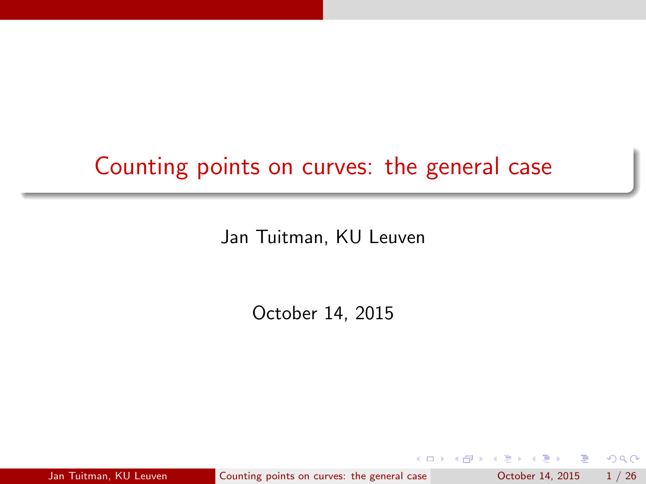# Counting points on curves: the general case

Jan Tuitman, KU Leuven

October 14, 2015

Jan Tuitman, KU Leuven [Counting points on curves: the general case](#page-25-0) Counting 1 / 26

 $-1000$ 

 $\rightarrow$   $\equiv$   $\rightarrow$ 

<span id="page-0-0"></span> $QQ$ 

目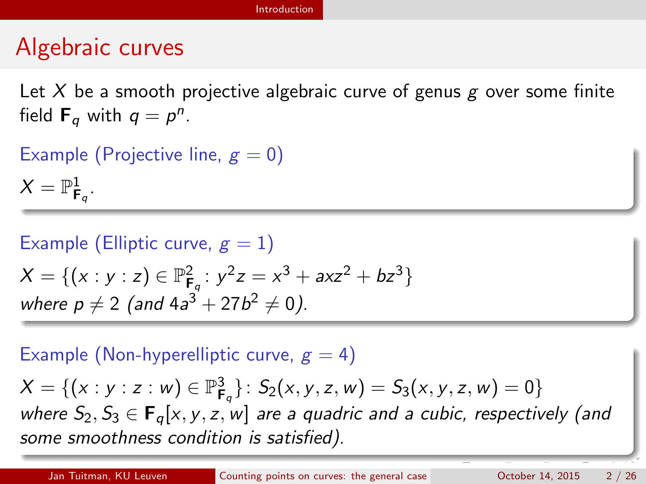### Algebraic curves

Let X be a smooth projective algebraic curve of genus  $g$  over some finite field  $\mathbf{F}_q$  with  $q = p^n$ .

Example (Projective line,  $g = 0$ )

 $X=\mathbb{P}^1_{\mathsf{F}_q}.$ 

Example (Elliptic curve,  $g = 1$ )  $X = \{ (x : y : z) \in \mathbb{P}^2_{\mathsf{F}_q} : y^2 z = x^3 + axz^2 + bz^3 \}$ where  $p \neq 2$  (and  $4a^3 + 27b^2 \neq 0$ ).

Example (Non-hyperelliptic curve,  $g = 4$ )

<span id="page-1-0"></span> $X = \{ (x : y : z : w) \in \mathbb{P}^3_{\mathsf{F}_q} \}$ :  $S_2(x, y, z, w) = S_3(x, y, z, w) = 0 \}$ where  $S_2, S_3 \in \mathbf{F}_q[x, y, z, w]$  are a quadric and a cubic, respectively (and some smoothness condition is satisfied).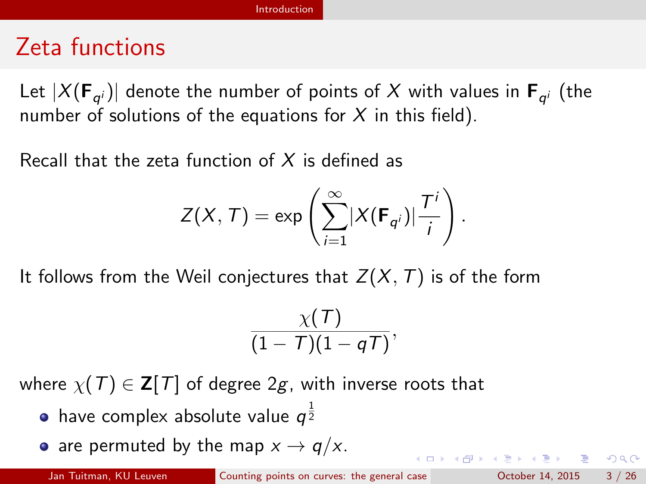### Zeta functions

Let  $|X({\mathbf{F}}_{q^i})|$  denote the number of points of  $X$  with values in  ${\mathbf{F}}_{q^i}$  (the number of solutions of the equations for  $X$  in this field).

Recall that the zeta function of  $X$  is defined as

$$
Z(X, T) = \exp\left(\sum_{i=1}^{\infty} |X(\mathbf{F}_{q^{i}})| \frac{T^{i}}{i}\right).
$$

It follows from the Weil conjectures that  $Z(X, T)$  is of the form

$$
\frac{\chi(T)}{(1-T)(1-qT)},
$$

where  $\chi(T) \in \mathbf{Z}[T]$  of degree 2g, with inverse roots that

- have complex absolute value  $q^{\frac{1}{2}}$
- are permuted by the map  $x \to q/x$ .

<span id="page-2-0"></span>KORKA ERKER EL AQA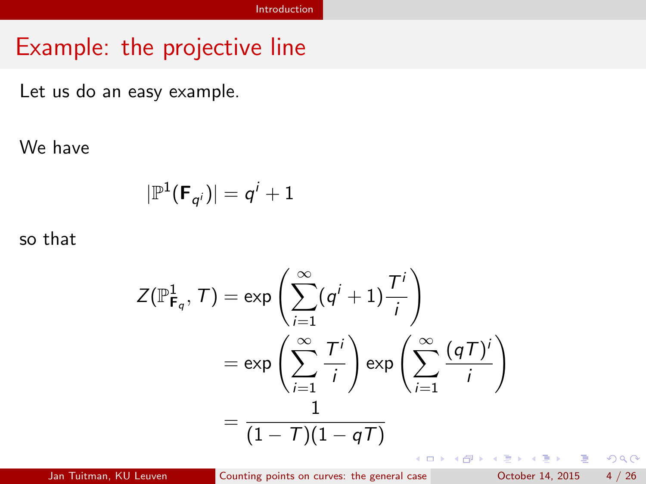### Example: the projective line

Let us do an easy example.

We have

$$
|\mathbb{P}^1(\mathsf{F}_{q^i})|=q^i+1
$$

so that

$$
Z(\mathbb{P}_{\mathsf{F}_q}^1, \mathcal{T}) = \exp\left(\sum_{i=1}^{\infty} (q^i + 1) \frac{\mathcal{T}^i}{i}\right)
$$
  
= 
$$
\exp\left(\sum_{i=1}^{\infty} \frac{\mathcal{T}^i}{i}\right) \exp\left(\sum_{i=1}^{\infty} \frac{(q\mathcal{T})^i}{i}\right)
$$
  
= 
$$
\frac{1}{(1 - \mathcal{T})(1 - q\mathcal{T})}
$$

 $\equiv$ 

<span id="page-3-0"></span> $QQ$ 

 $\sqrt{m}$   $\rightarrow$   $\sqrt{m}$   $\rightarrow$   $\sqrt{m}$   $\rightarrow$ 

4 D F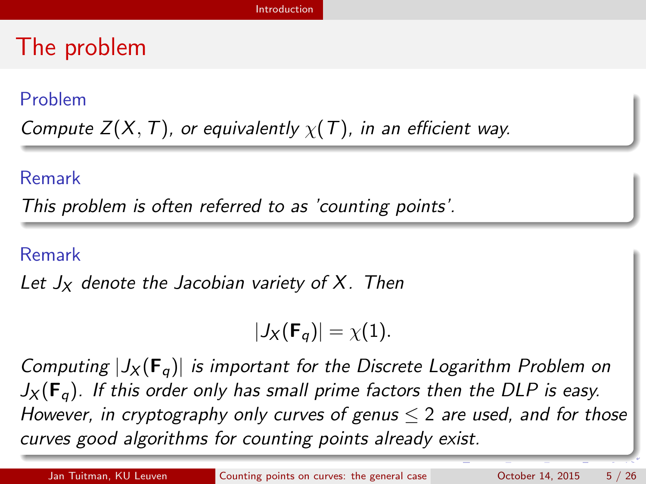## The problem

#### Problem

Compute  $Z(X, T)$ , or equivalently  $\chi(T)$ , in an efficient way.

#### Remark

This problem is often referred to as 'counting points'.

#### Remark

Let  $J_X$  denote the Jacobian variety of X. Then

<span id="page-4-0"></span>
$$
|J_X(\mathbf{F}_q)|=\chi(1).
$$

Computing  $|J_X(F_\sigma)|$  is important for the Discrete Logarithm Problem on  $J_X(\mathbf{F}_q)$ . If this order only has small prime factors then the DLP is easy. However, in cryptography only curves of genus  $\leq 2$  are used, and for those curves good algorithms for counting points already exist.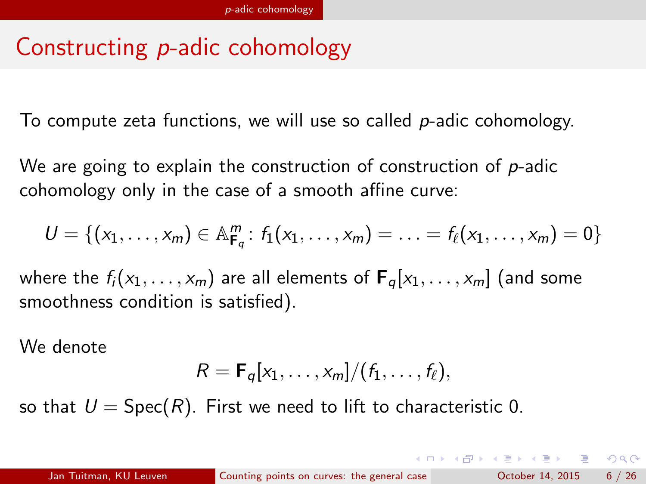# Constructing p-adic cohomology

To compute zeta functions, we will use so called  $p$ -adic cohomology.

We are going to explain the construction of construction of  $p$ -adic cohomology only in the case of a smooth affine curve:

$$
U=\{(x_1,\ldots,x_m)\in \mathbb{A}_{\mathbf{F}_q}^m\colon f_1(x_1,\ldots,x_m)=\ldots=f_\ell(x_1,\ldots,x_m)=0\}
$$

where the  $f_i(x_1, \ldots, x_m)$  are all elements of  ${\bf F}_q[x_1, \ldots, x_m]$  (and some smoothness condition is satisfied).

We denote

<span id="page-5-0"></span>
$$
R = \mathbf{F}_q[x_1,\ldots,x_m]/(f_1,\ldots,f_\ell),
$$

so that  $U = Spec(R)$ . First we need to lift to characteristic 0.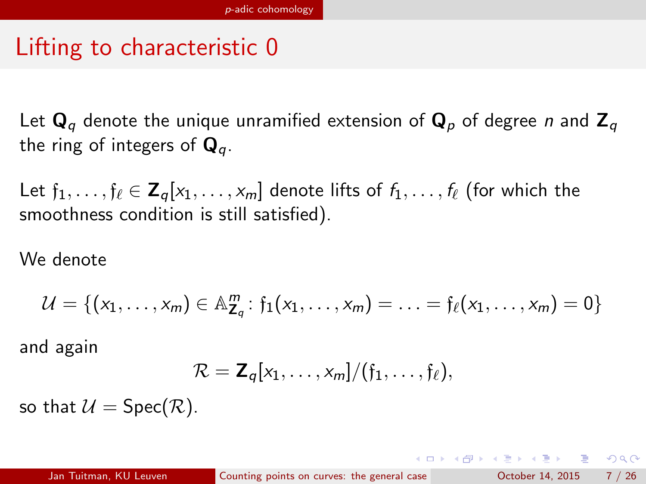# Lifting to characteristic 0

Let  $\mathbf{Q}_q$  denote the unique unramified extension of  $\mathbf{Q}_p$  of degree *n* and  $\mathbf{Z}_q$ the ring of integers of  $\mathbf{Q}_a$ .

Let  $f_1, \ldots, f_\ell \in \mathbb{Z}_q[x_1, \ldots, x_m]$  denote lifts of  $f_1, \ldots, f_\ell$  (for which the smoothness condition is still satisfied).

We denote

$$
\mathcal{U} = \{ (x_1, \ldots, x_m) \in \mathbb{A}_{\mathbb{Z}_q}^m : f_1(x_1, \ldots, x_m) = \ldots = f_{\ell}(x_1, \ldots, x_m) = 0 \}
$$

and again

<span id="page-6-0"></span>
$$
\mathcal{R} = \mathbf{Z}_q[x_1,\ldots,x_m]/(f_1,\ldots,f_\ell),
$$

so that  $\mathcal{U} = \text{Spec}(\mathcal{R})$ .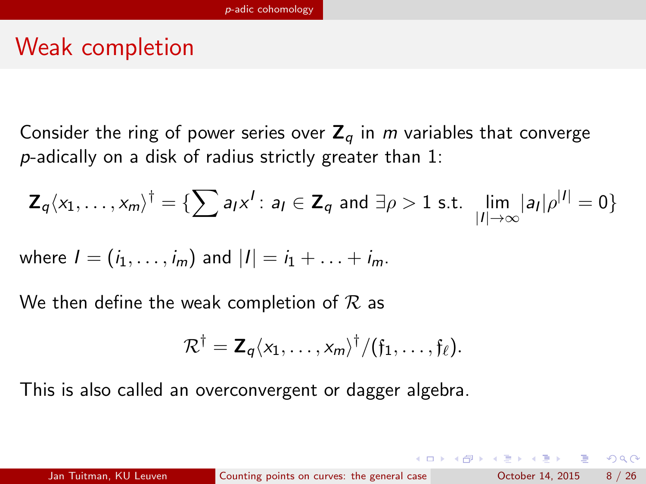## Weak completion

Consider the ring of power series over  $Z_a$  in m variables that converge p-adically on a disk of radius strictly greater than 1:

$$
\mathbf{Z}_q \langle x_1,\ldots,x_m \rangle^{\dagger} = \{ \sum a_I x^I : a_I \in \mathbf{Z}_q \text{ and } \exists \rho > 1 \text{ s.t. } \lim_{|I| \to \infty} |a_I| \rho^{|I|} = 0 \}
$$

where 
$$
I = (i_1, ..., i_m)
$$
 and  $|I| = i_1 + ... + i_m$ .

We then define the weak completion of  $\mathcal R$  as

$$
\mathcal{R}^{\dagger} = \mathbf{Z}_q \langle x_1, \ldots, x_m \rangle^{\dagger} / (\mathfrak{f}_1, \ldots, \mathfrak{f}_{\ell}).
$$

This is also called an overconvergent or dagger algebra.

<span id="page-7-0"></span> $QQ$ 

∢何 ▶ ∢ ヨ ▶ ∢ ヨ ▶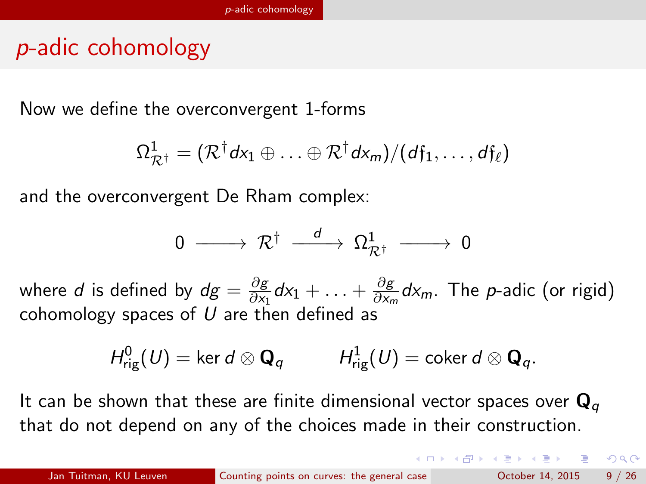## p-adic cohomology

Now we define the overconvergent 1-forms

$$
\Omega^1_{\mathcal{R}^\dagger} = (\mathcal{R}^\dagger d\mathsf{x}_1 \oplus \ldots \oplus \mathcal{R}^\dagger d\mathsf{x}_m) / (d\mathfrak{f}_1, \ldots, d\mathfrak{f}_\ell)
$$

and the overconvergent De Rham complex:

$$
0\;\longrightarrow\;{\cal R}^\dagger\;\stackrel{d}{-\!\!\!-\!\!\!-\!\!\!-\!\!\!-\!\!\!\longrightarrow}\;\Omega^1_{{\cal R}^\dagger}\;\longrightarrow\;0
$$

where  $d$  is defined by  $dg = \frac{\partial g}{\partial x}$  $\frac{\partial g}{\partial x_1}dx_1 + \ldots + \frac{\partial g}{\partial x_n}$  $\frac{\partial g}{\partial x_m}$ d $x_m$ . The *p*-adic (or rigid) cohomology spaces of  $U$  are then defined as

$$
H^0_{\text{rig}}(U) = \ker d \otimes \mathbf{Q}_q \hspace{1cm} H^1_{\text{rig}}(U) = \text{coker } d \otimes \mathbf{Q}_q.
$$

It can be shown that these are finite dimensional vector spaces over  $\mathbf{Q}_q$ that do not depend on any of the choices made in their construction.

<span id="page-8-0"></span> $QQQ$ 

 $A \oplus A \rightarrow A \oplus A \rightarrow A \oplus A$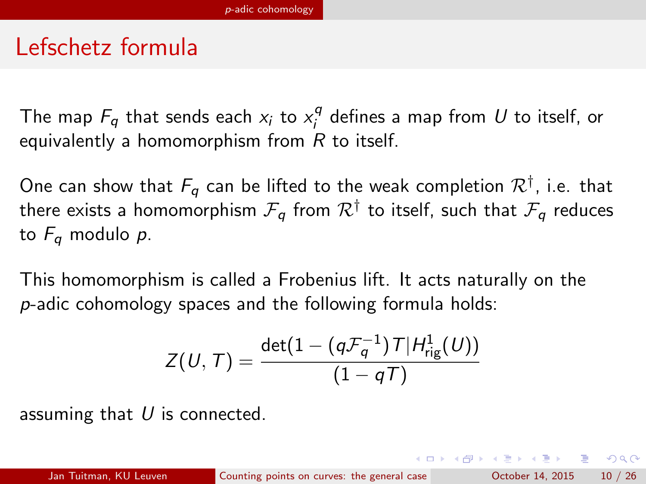### Lefschetz formula

The map  $F_q$  that sends each  $x_i$  to  $x_i^q$  $\boldsymbol{S}_i^{\mathcal{G}}$  defines a map from  $\boldsymbol{U}$  to itself, or equivalently a homomorphism from  $R$  to itself.

One can show that  $F_q$  can be lifted to the weak completion  $\mathcal R^\dagger$ , i.e. that there exists a homomorphism  $\mathcal{F}_{\bm{q}}$  from  $\mathcal{R}^{\dagger}$  to itself, such that  $\mathcal{F}_{\bm{q}}$  reduces to  $F_q$  modulo p.

This homomorphism is called a Frobenius lift. It acts naturally on the p-adic cohomology spaces and the following formula holds:

$$
Z(U, T) = \frac{\det(1 - (q\mathcal{F}_q^{-1})T|H^1_{\mathrm{rig}}(U))}{(1 - qT)}
$$

assuming that  $U$  is connected.

<span id="page-9-0"></span> $\Omega$ 

∢何 ▶ ∢ ヨ ▶ ∢ ヨ ▶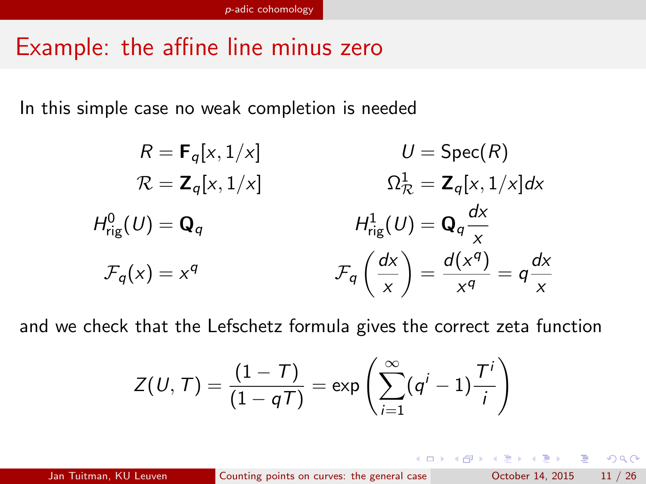## Example: the affine line minus zero

In this simple case no weak completion is needed

$$
R = \mathbf{F}_q[x, 1/x] \qquad U = \text{Spec}(R)
$$
  
\n
$$
\mathcal{R} = \mathbf{Z}_q[x, 1/x] \qquad \qquad \Omega_{\mathcal{R}}^1 = \mathbf{Z}_q[x, 1/x]dx
$$
  
\n
$$
H_{\text{rig}}^0(U) = \mathbf{Q}_q \qquad H_{\text{rig}}^1(U) = \mathbf{Q}_q \frac{dx}{x}
$$
  
\n
$$
\mathcal{F}_q(x) = x^q \qquad \qquad \mathcal{F}_q\left(\frac{dx}{x}\right) = \frac{d(x^q)}{x^q} = q\frac{dx}{x}
$$

and we check that the Lefschetz formula gives the correct zeta function

$$
Z(U, T) = \frac{(1 - T)}{(1 - qT)} = \exp\left(\sum_{i=1}^{\infty} (q^{i} - 1) \frac{T^{i}}{i}\right)
$$

<span id="page-10-0"></span> $QQ$ 

∢ 何 ▶ . ∢ ヨ ▶ . ∢ ヨ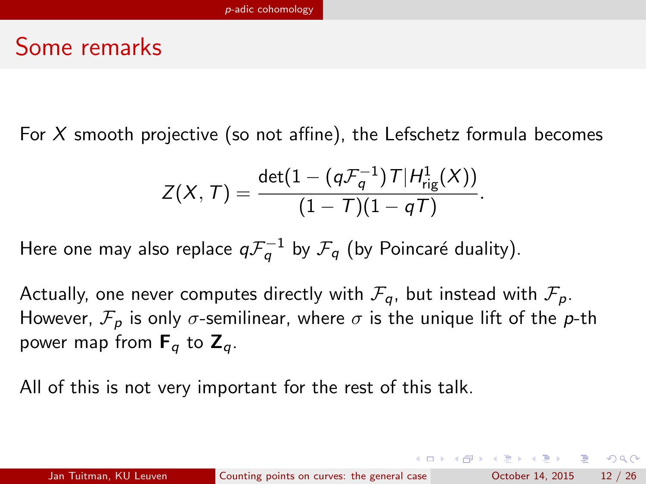### Some remarks

For  $X$  smooth projective (so not affine), the Lefschetz formula becomes

<span id="page-11-0"></span>
$$
Z(X, T) = \frac{\det(1 - (q\mathcal{F}_q^{-1})T|H^1_{\mathrm{rig}}(X))}{(1 - T)(1 - qT)}.
$$

Here one may also replace  $q\mathcal{F}_q^{-1}$  by  $\mathcal{F}_q$  (by Poincaré duality).

Actually, one never computes directly with  $\mathcal{F}_{q}$ , but instead with  $\mathcal{F}_{p}$ . However,  $\mathcal{F}_p$  is only  $\sigma$ -semilinear, where  $\sigma$  is the unique lift of the p-th power map from  $F_q$  to  $Z_q$ .

All of this is not very important for the rest of this talk.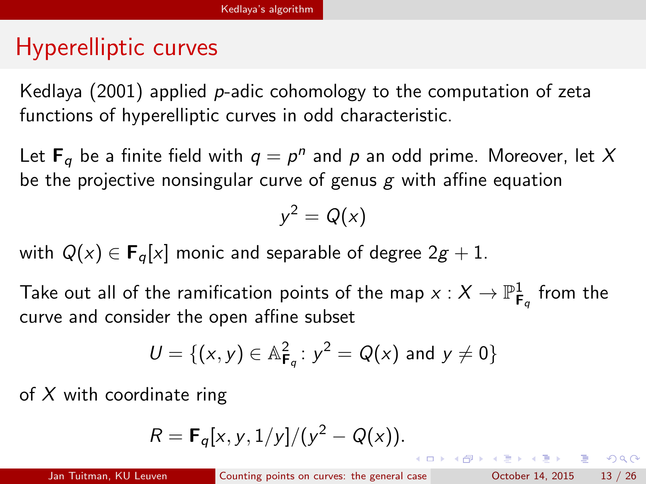# Hyperelliptic curves

Kedlaya (2001) applied p-adic cohomology to the computation of zeta functions of hyperelliptic curves in odd characteristic.

Let  $\mathbf{F}_q$  be a finite field with  $q = p^n$  and  $p$  an odd prime. Moreover, let  $X$ be the projective nonsingular curve of genus  $g$  with affine equation

$$
y^2=Q(x)
$$

with  $Q(x) \in \mathbf{F}_q[x]$  monic and separable of degree  $2g + 1$ .

Take out all of the ramification points of the map  $\mathsf{x}:\mathcal{X}\rightarrow \mathbb{P}^1_{\mathsf{F}_q}$  from the curve and consider the open affine subset

$$
U = \{(x, y) \in \mathbb{A}_{F_q}^2 : y^2 = Q(x) \text{ and } y \neq 0\}
$$

of  $X$  with coordinate ring

$$
R = \mathbf{F}_q[x, y, 1/y]/(y^2 - Q(x)).
$$

<span id="page-12-0"></span>K ロ ▶ K 個 ▶ K 로 ▶ K 로 ▶ 『로 『 YO Q @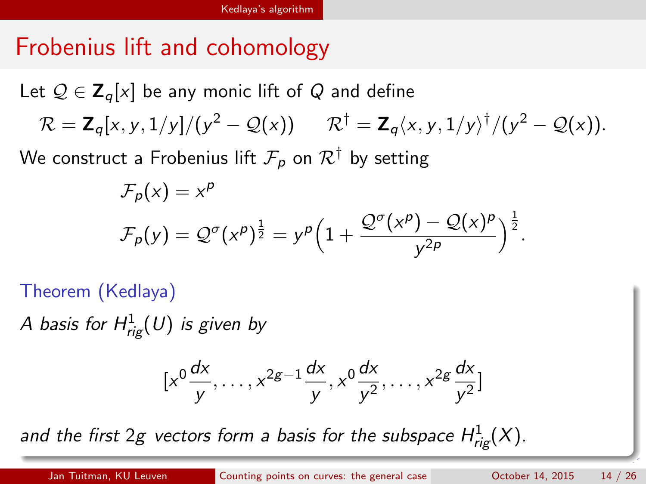# Frobenius lift and cohomology

Let  $Q \in \mathbb{Z}_{q}[x]$  be any monic lift of Q and define  $\mathcal{R} = \mathsf{Z}_q[x, y, 1/y]/(y^2 - \mathcal{Q}(x)) \qquad \mathcal{R}^\dagger = \mathsf{Z}_q\langle x, y, 1/y \rangle^\dagger/(y^2 - \mathcal{Q}(x)).$ 

We construct a Frobenius lift  $\mathcal{F}_p$  on  $\mathcal{R}^{\dagger}$  by setting

$$
\mathcal{F}_p(x) = x^p
$$
  

$$
\mathcal{F}_p(y) = \mathcal{Q}^\sigma(x^p)^{\frac{1}{2}} = y^p \left(1 + \frac{\mathcal{Q}^\sigma(x^p) - \mathcal{Q}(x)^p}{y^{2p}}\right)^{\frac{1}{2}}.
$$

Theorem (Kedlaya)

A basis for  $H^1_{\mathrm{rig}}(U)$  is given by

<span id="page-13-0"></span>
$$
[x^0\frac{dx}{y},\ldots,x^{2g-1}\frac{dx}{y},x^0\frac{dx}{y^2},\ldots,x^{2g}\frac{dx}{y^2}]
$$

and the fi[r](#page-13-0)st 2g vectors form a basis for the subspace  $H^1_{\text{rig}}(X).$  $H^1_{\text{rig}}(X).$  $H^1_{\text{rig}}(X).$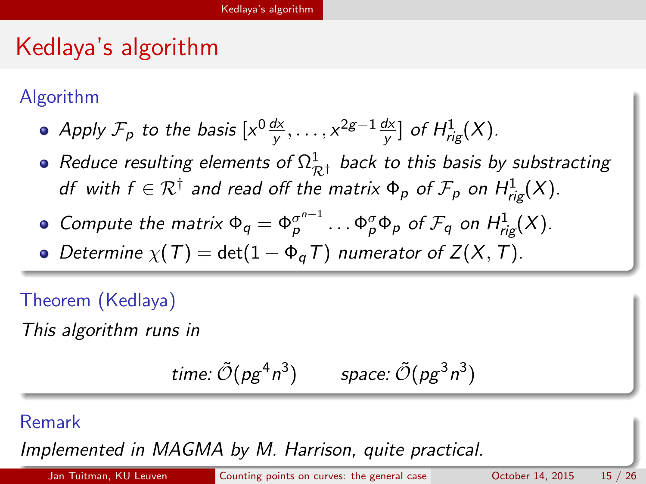# Kedlaya's algorithm

Algorithm

- Apply  $\mathcal{F}_p$  to the basis  $[x^0\frac{d x}{y}, \ldots, x^{2g-1}\frac{d x}{y}]$  of  $H^1_{rig}(X)$ .
- Reduce resulting elements of  $\Omega^1_{\mathcal{R}^\dagger}$  back to this basis by substracting df with  $f \in \mathcal{R}^\dagger$  and read off the matrix  $\Phi_p$  of  $\mathcal{F}_p$  on  $H^1_{\mathit{rig}}(X).$
- Compute the matrix  $\Phi_q = \Phi_p^{\sigma^{n-1}} \dots \Phi_p^{\sigma} \Phi_p$  of  $\mathcal{F}_q$  on  $H^1_{rig}(X)$ .
- Determine  $\chi(T) = \det(1 \Phi_{\alpha} T)$  numerator of  $Z(X, T)$ .

Theorem (Kedlaya)

This algorithm runs in

<span id="page-14-0"></span>
$$
time: \tilde{\mathcal{O}}(pg^4n^3) \qquad space: \tilde{\mathcal{O}}(pg^3n^3)
$$

#### Remark

Implemented in MAGMA by M. Harrison, quite [pr](#page-13-0)a[ct](#page-15-0)[i](#page-13-0)[cal](#page-14-0)[.](#page-15-0)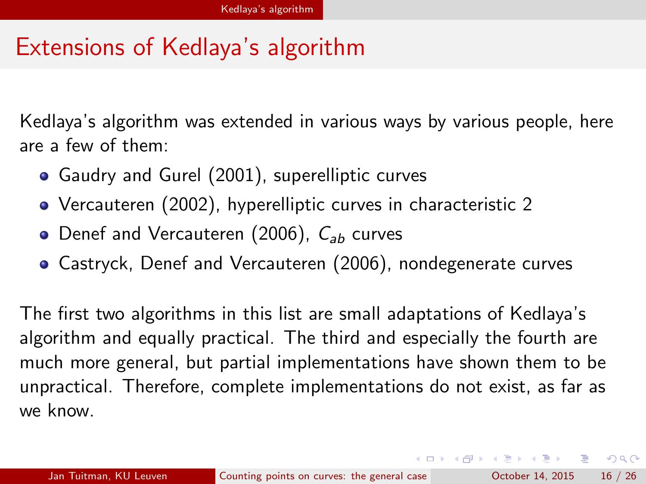# Extensions of Kedlaya's algorithm

Kedlaya's algorithm was extended in various ways by various people, here are a few of them:

- Gaudry and Gurel (2001), superelliptic curves
- Vercauteren (2002), hyperelliptic curves in characteristic 2
- Denef and Vercauteren (2006),  $C_{ab}$  curves
- <span id="page-15-0"></span>Castryck, Denef and Vercauteren (2006), nondegenerate curves

The first two algorithms in this list are small adaptations of Kedlaya's algorithm and equally practical. The third and especially the fourth are much more general, but partial implementations have shown them to be unpractical. Therefore, complete implementations do not exist, as far as we know.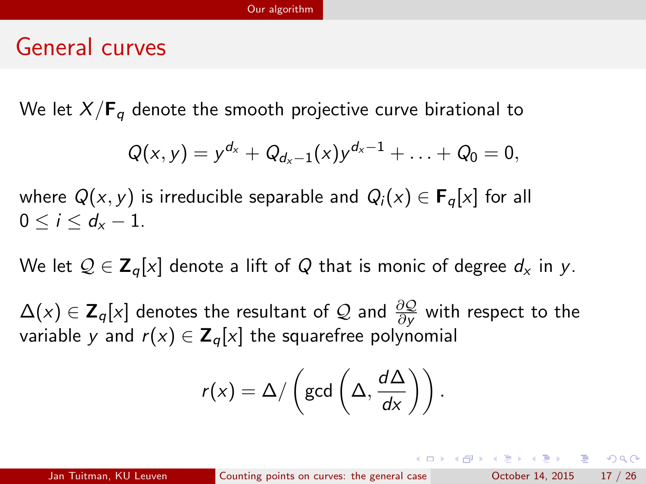#### General curves

We let  $X/\mathbf{F}_q$  denote the smooth projective curve birational to

$$
Q(x,y) = y^{d_x} + Q_{d_x-1}(x)y^{d_x-1} + \ldots + Q_0 = 0,
$$

where  $Q(x, y)$  is irreducible separable and  $Q_i(x) \in \mathbf{F}_q[x]$  for all  $0 < i < d_{r} - 1$ .

We let  $\mathcal{Q} \in \mathbf{Z}_{q}[x]$  denote a lift of Q that is monic of degree  $d_x$  in y.

 $\Delta(x)\in\mathsf{Z}_q[x]$  denotes the resultant of  $\mathcal Q$  and  $\frac{\partial\mathcal Q}{\partial y}$  with respect to the variable y and  $r(x) \in \mathbb{Z}_q[x]$  the squarefree polynomial

$$
r(x) = \Delta / \left(\gcd\left(\Delta, \frac{d\Delta}{dx}\right)\right).
$$

<span id="page-16-0"></span>→ 伊 → → ミ → → ミ → → ミ → つくぐ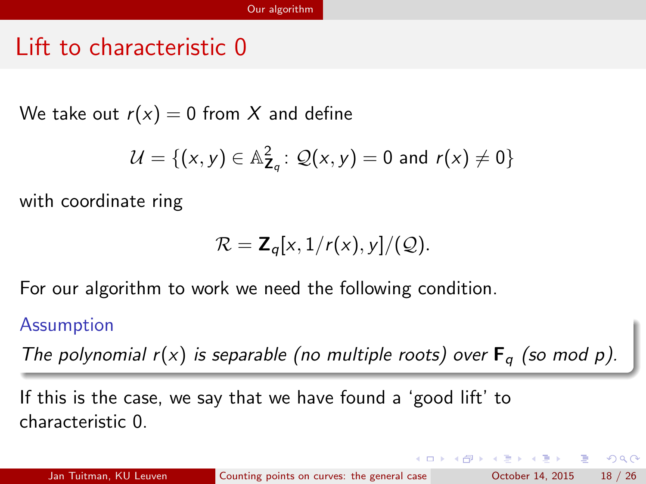## Lift to characteristic 0

We take out  $r(x) = 0$  from X and define

$$
\mathcal{U} = \{ (x, y) \in \mathbb{A}_{\mathbf{Z}_q}^2 \colon \mathcal{Q}(x, y) = 0 \text{ and } r(x) \neq 0 \}
$$

with coordinate ring

$$
\mathcal{R} = \mathbf{Z}_q[x,1/r(x),y]/(\mathcal{Q}).
$$

For our algorithm to work we need the following condition.

#### Assumption

The polynomial  $r(x)$  is separable (no multiple roots) over  $F_q$  (so mod p).

If this is the case, we say that we have found a 'good lift' to characteristic 0.

<span id="page-17-0"></span>ె≣ •ం∝్

∢何 ▶ ∢ ヨ ▶ ∢ ヨ ▶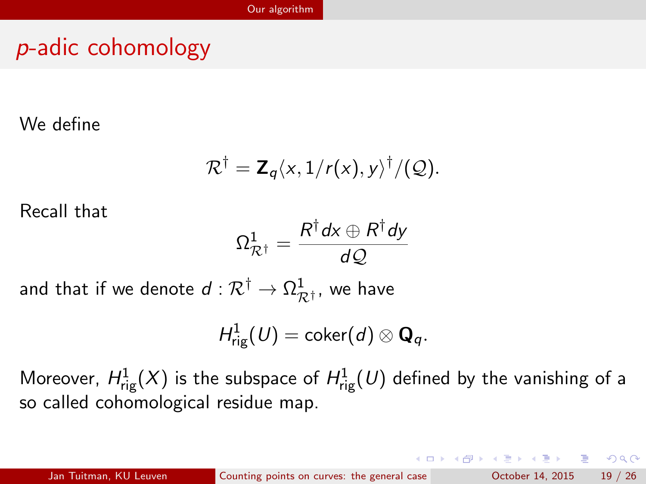# p-adic cohomology

We define

$$
\mathcal{R}^{\dagger} = \mathbf{Z}_q \langle x, 1/r(x), y \rangle^{\dagger} / (\mathcal{Q}).
$$

Recall that

$$
\Omega^1_{{\mathcal R}^\dagger}=\frac{R^\dagger dx\oplus R^\dagger dy}{d{\mathcal Q}}
$$

and that if we denote  $d:\mathcal{R}^{\dagger}\rightarrow\Omega^{1}_{\mathcal{R}^{\dagger}}$ , we have

$$
H^1_{\mathrm{rig}}(U)=\mathrm{coker}(d)\otimes \mathbf{Q}_q.
$$

Moreover,  $H^1_\text{rig}(X)$  is the subspace of  $H^1_\text{rig}(U)$  defined by the vanishing of a so called cohomological residue map.

<span id="page-18-0"></span>K 個 ▶ K 重 ▶ K 重 ▶ 「重 」 約 9,0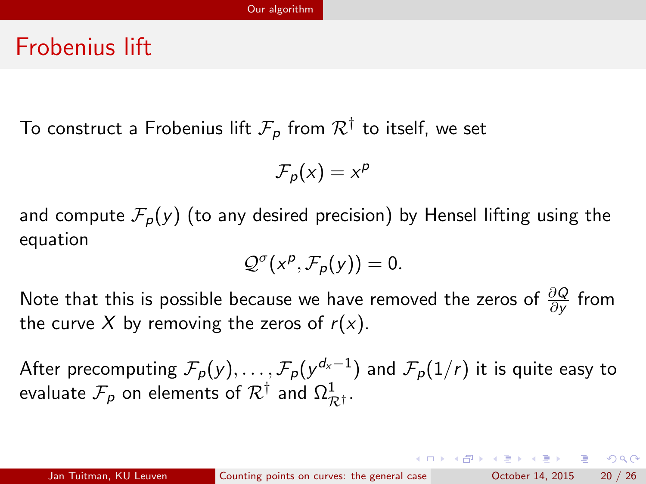#### Frobenius lift

To construct a Frobenius lift  $\mathcal{F}_{\bm{\rho}}$  from  $\mathcal{R}^{\dagger}$  to itself, we set

$$
\mathcal{F}_p(x)=x^p
$$

and compute  $\mathcal{F}_p(y)$  (to any desired precision) by Hensel lifting using the equation

$$
\mathcal{Q}^{\sigma}(x^p,\mathcal{F}_p(y))=0.
$$

Note that this is possible because we have removed the zeros of  $\frac{\partial Q}{\partial y}$  from the curve X by removing the zeros of  $r(x)$ .

After precomputing  $\mathcal{F}_\rho(y),\ldots,\mathcal{F}_\rho(y^{d_\chi-1})$  and  $\mathcal{F}_\rho(1/r)$  it is quite easy to evaluate  $\mathcal{F}_\rho$  on elements of  $\mathcal{R}^\dagger$  and  $\Omega^1_{\mathcal{R}^\dagger}.$ 

<span id="page-19-0"></span>KORKA ERKER EL AQA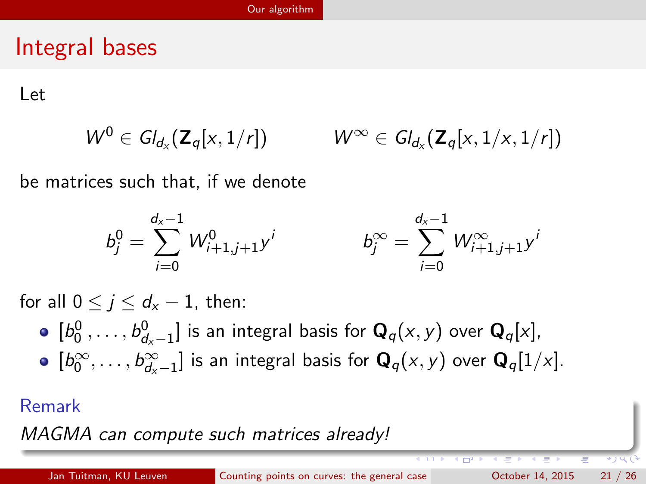## Integral bases

Let

$$
W^0 \in Gl_{d_x}(\mathbf{Z}_q[x,1/r]) \qquad W^{\infty} \in Gl_{d_x}(\mathbf{Z}_q[x,1/x,1/r])
$$

be matrices such that, if we denote

<span id="page-20-0"></span>
$$
b_j^0 = \sum_{i=0}^{d_x-1} W_{i+1,j+1}^0 y^i \qquad \qquad b_j^\infty = \sum_{i=0}^{d_x-1} W_{i+1,j+1}^\infty y^i
$$

for all  $0 \leq j \leq d_{x} - 1$ , then:

 $[b^0_0,\ldots,b^0_{d_\mathsf{x}-1}]$  is an integral basis for  $\mathbf{Q}_q(\mathsf{x},\mathsf{y})$  over  $\mathbf{Q}_q[\mathsf{x}],$  $[b_0^{\infty}, \ldots, b_{d_{\mathsf{x}}-1}^{\infty}]$  is an integral basis for  $\mathbf{Q}_q(x, y)$  over  $\mathbf{Q}_q[1/x].$ 

#### Remark

MAGMA can compute such matrices already!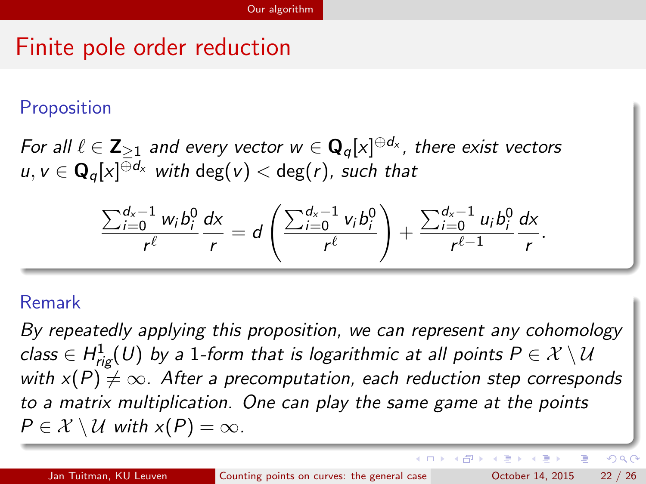# Finite pole order reduction

#### Proposition

For all  $\ell \in \mathsf{Z}_{\ge 1}$  and every vector  $w \in \mathsf{Q}_q[x]^{\oplus d_\mathsf{x}}$ , there exist vectors  $u,v\in\mathbf{Q}_q[x]^{\oplus d_\mathsf{x}}$  with  $\mathsf{deg}(v)<\mathsf{deg}(r)$ , such that

$$
\frac{\sum_{i=0}^{d_x-1} w_i b_i^0}{r^{\ell}} \frac{dx}{r} = d \left( \frac{\sum_{i=0}^{d_x-1} v_i b_i^0}{r^{\ell}} \right) + \frac{\sum_{i=0}^{d_x-1} u_i b_i^0}{r^{\ell-1}} \frac{dx}{r}.
$$

#### Remark

By repeatedly applying this proposition, we can represent any cohomology class  $\in H^1_{\mathsf{rig}}(U)$  by a 1-form that is logarithmic at all points  $P \in \mathcal{X} \setminus \mathcal{U}$ with  $x(P) \neq \infty$ . After a precomputation, each reduction step corresponds to a matrix multiplication. One can play the same game at the points  $P \in \mathcal{X} \setminus \mathcal{U}$  with  $x(P) = \infty$ .

<span id="page-21-0"></span> $QQ$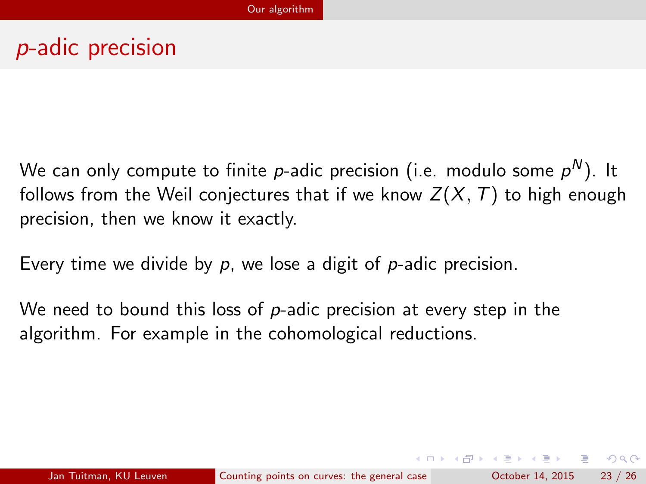# p-adic precision

We can only compute to finite  $p$ -adic precision (i.e. modulo some  $\rho^{\mathsf{N}}$ ). It follows from the Weil conjectures that if we know  $Z(X, T)$  to high enough precision, then we know it exactly.

Every time we divide by  $p$ , we lose a digit of  $p$ -adic precision.

<span id="page-22-0"></span>We need to bound this loss of  $p$ -adic precision at every step in the algorithm. For example in the cohomological reductions.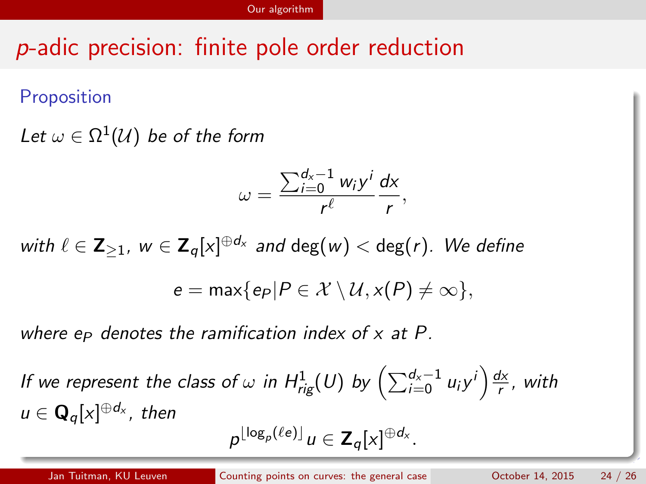# p-adic precision: finite pole order reduction

Proposition

Let  $\omega \in \Omega^1(\mathcal{U})$  be of the form

$$
\omega=\frac{\sum_{i=0}^{d_x-1}w_iy^i}{r^{\ell}}\frac{dx}{r},
$$

with  $\ell \in \mathsf{Z}_{\geq 1}$ ,  $w \in \mathsf{Z}_q[x]^{\oplus d_{\times}}$  and  $\deg(w) < \deg(r).$  We define  $e = \max\{e_P|P \in \mathcal{X} \setminus \mathcal{U}, x(P) \neq \infty\},\$ 

where  $e_P$  denotes the ramification index of  $x$  at  $P$ .

If we represent the class of  $\omega$  in  $H^1_\text{rig}(U)$  by  $\left( \sum_{i=0}^{d_\times-1} u_i y^i \right) \frac{dx}{r}$  $\frac{dx}{r}$ , with  $u\in \mathbf{Q}_q[x]^{\oplus d_{\mathsf{x}}},$  then

<span id="page-23-0"></span>
$$
p^{\lfloor \log_p(\ell e) \rfloor} u \in \mathsf{Z}_q[x]^{\oplus d_\mathsf{x}}.
$$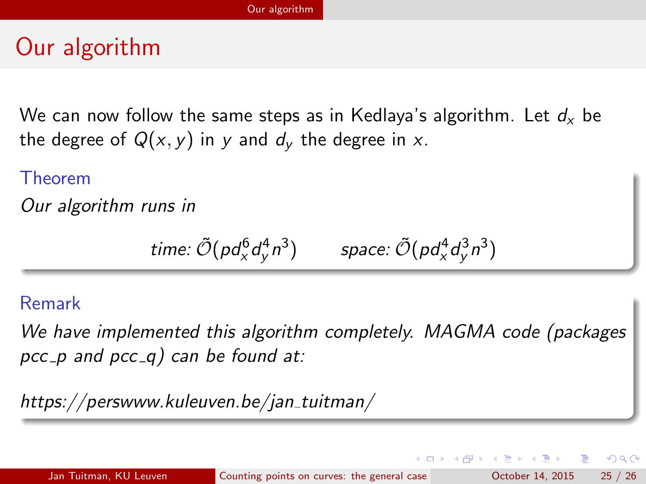# Our algorithm

We can now follow the same steps as in Kedlaya's algorithm. Let  $d_x$  be the degree of  $Q(x, y)$  in y and  $d<sub>v</sub>$  the degree in x.

#### Theorem

Our algorithm runs in

$$
time: \tilde{\mathcal{O}}(pd_{x}^{6}d_{y}^{4}n^{3}) \qquad space: \tilde{\mathcal{O}}(pd_{x}^{4}d_{y}^{3}n^{3})
$$

#### Remark

We have implemented this algorithm completely. MAGMA code (packages pcc  $-p$  and pcc  $q$ ) can be found at:

https://perswww.kuleuven.be/jan\_tuitman/

<span id="page-24-0"></span> $200$